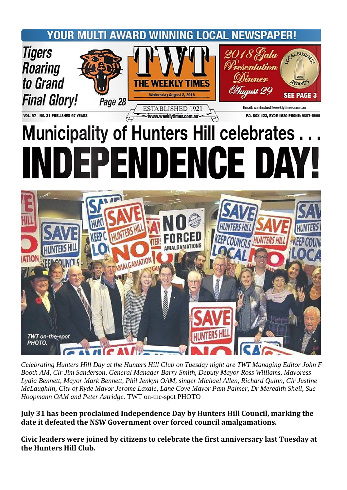## **WINNING LOCAL NEWSPAPER!** YOUR MULTI AWARD



VOL. 97 NO. 31 PUBLISHED 97 YEARS

## www.weeklytimes.com.au P.O. BOX 123, RYDE 1680 PHONE: 9807-6666 **Municipality of Hunters Hill celebrates** EPENDENCE DAY



*Celebrating Hunters Hill Day at the Hunters Hill Club on Tuesday night are TWT Managing Editor John F Booth AM, Clr Jim Sanderson, General Manager Barry Smith, Deputy Mayor Ross Williams, Mayoress Lydia Bennett, Mayor Mark Bennett, Phil Jenkyn OAM, singer Michael Allen, Richard Quinn, Clr Justine McLaughlin, City of Ryde Mayor Jerome Laxale, Lane Cove Mayor Pam Palmer, Dr Meredith Sheil, Sue Hoopmann OAM and Peter Astridge.* TWT on-the-spot PHOTO

**July 31 has been proclaimed Independence Day by Hunters Hill Council, marking the date it defeated the NSW Government over forced council amalgamations.**

**Civic leaders were joined by citizens to celebrate the first anniversary last Tuesday at the Hunters Hill Club.**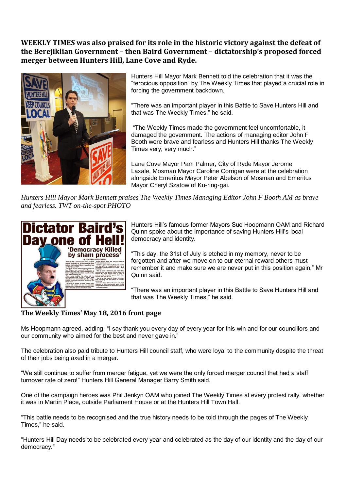## **WEEKLY TIMES was also praised for its role in the historic victory against the defeat of the Berejiklian Government – then Baird Government – dictatorship's proposed forced merger between Hunters Hill, Lane Cove and Ryde.**



Hunters Hill Mayor Mark Bennett told the celebration that it was the "ferocious opposition" by The Weekly Times that played a crucial role in forcing the government backdown.

"There was an important player in this Battle to Save Hunters Hill and that was The Weekly Times," he said.

"The Weekly Times made the government feel uncomfortable, it damaged the government. The actions of managing editor John F Booth were brave and fearless and Hunters Hill thanks The Weekly Times very, very much."

Lane Cove Mayor Pam Palmer, City of Ryde Mayor Jerome Laxale, Mosman Mayor Caroline Corrigan were at the celebration alongside Emeritus Mayor Peter Abelson of Mosman and Emeritus Mayor Cheryl Szatow of Ku-ring-gai.

*Hunters Hill Mayor Mark Bennett praises The Weekly Times Managing Editor John F Booth AM as brave and fearless. TWT on-the-spot PHOTO*



Hunters Hill's famous former Mayors Sue Hoopmann OAM and Richard Quinn spoke about the importance of saving Hunters Hill's local democracy and identity.

"This day, the 31st of July is etched in my memory, never to be forgotten and after we move on to our eternal reward others must remember it and make sure we are never put in this position again," Mr Quinn said.

"There was an important player in this Battle to Save Hunters Hill and that was The Weekly Times," he said.

## **The Weekly Times' May 18, 2016 front page**

Ms Hoopmann agreed, adding: "I say thank you every day of every year for this win and for our councillors and our community who aimed for the best and never gave in."

The celebration also paid tribute to Hunters Hill council staff, who were loyal to the community despite the threat of their jobs being axed in a merger.

"We still continue to suffer from merger fatigue, yet we were the only forced merger council that had a staff turnover rate of zero!" Hunters Hill General Manager Barry Smith said.

One of the campaign heroes was Phil Jenkyn OAM who joined The Weekly Times at every protest rally, whether it was in Martin Place, outside Parliament House or at the Hunters Hill Town Hall.

"This battle needs to be recognised and the true history needs to be told through the pages of The Weekly Times," he said.

"Hunters Hill Day needs to be celebrated every year and celebrated as the day of our identity and the day of our democracy."